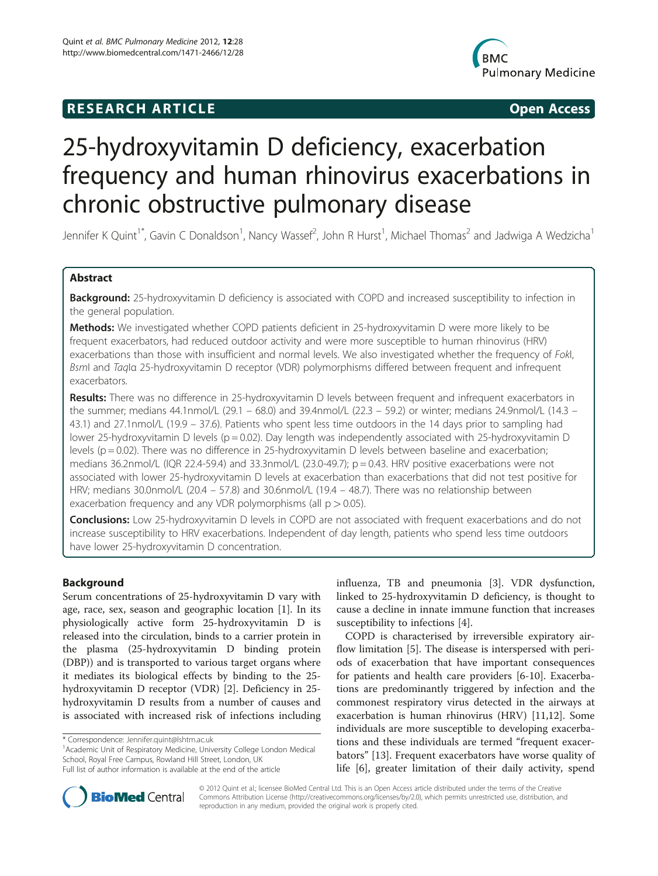## **RESEARCH ARTICLE Example 2014 CONSIDERING CONSIDERING CONSIDERING CONSIDERING CONSIDERING CONSIDERING CONSIDERING CONSIDERING CONSIDERING CONSIDERING CONSIDERING CONSIDERING CONSIDERING CONSIDERING CONSIDERING CONSIDE**



# 25-hydroxyvitamin D deficiency, exacerbation frequency and human rhinovirus exacerbations in chronic obstructive pulmonary disease

Jennifer K Quint<sup>1\*</sup>, Gavin C Donaldson<sup>1</sup>, Nancy Wassef<sup>2</sup>, John R Hurst<sup>1</sup>, Michael Thomas<sup>2</sup> and Jadwiga A Wedzicha<sup>1</sup>

## Abstract

Background: 25-hydroxyvitamin D deficiency is associated with COPD and increased susceptibility to infection in the general population.

Methods: We investigated whether COPD patients deficient in 25-hydroxyvitamin D were more likely to be frequent exacerbators, had reduced outdoor activity and were more susceptible to human rhinovirus (HRV) exacerbations than those with insufficient and normal levels. We also investigated whether the frequency of Fokl, BsmI and TaqIα 25-hydroxyvitamin D receptor (VDR) polymorphisms differed between frequent and infrequent exacerbators.

Results: There was no difference in 25-hydroxyvitamin D levels between frequent and infrequent exacerbators in the summer; medians 44.1nmol/L (29.1 – 68.0) and 39.4nmol/L (22.3 – 59.2) or winter; medians 24.9nmol/L (14.3 – 43.1) and 27.1nmol/L (19.9 – 37.6). Patients who spent less time outdoors in the 14 days prior to sampling had lower 25-hydroxyvitamin D levels (p = 0.02). Day length was independently associated with 25-hydroxyvitamin D levels (p = 0.02). There was no difference in 25-hydroxyvitamin D levels between baseline and exacerbation; medians 36.2nmol/L (IQR 22.4-59.4) and 33.3nmol/L (23.0-49.7); p = 0.43. HRV positive exacerbations were not associated with lower 25-hydroxyvitamin D levels at exacerbation than exacerbations that did not test positive for HRV; medians 30.0nmol/L (20.4 – 57.8) and 30.6nmol/L (19.4 – 48.7). There was no relationship between exacerbation frequency and any VDR polymorphisms (all  $p > 0.05$ ).

**Conclusions:** Low 25-hydroxyvitamin D levels in COPD are not associated with frequent exacerbations and do not increase susceptibility to HRV exacerbations. Independent of day length, patients who spend less time outdoors have lower 25-hydroxyvitamin D concentration.

## Background

Serum concentrations of 25-hydroxyvitamin D vary with age, race, sex, season and geographic location [[1\]](#page-7-0). In its physiologically active form 25-hydroxyvitamin D is released into the circulation, binds to a carrier protein in the plasma (25-hydroxyvitamin D binding protein (DBP)) and is transported to various target organs where it mediates its biological effects by binding to the 25 hydroxyvitamin D receptor (VDR) [[2\]](#page-7-0). Deficiency in 25 hydroxyvitamin D results from a number of causes and is associated with increased risk of infections including

<sup>1</sup> Academic Unit of Respiratory Medicine, University College London Medical School, Royal Free Campus, Rowland Hill Street, London, UK Full list of author information is available at the end of the article

influenza, TB and pneumonia [[3\]](#page-7-0). VDR dysfunction, linked to 25-hydroxyvitamin D deficiency, is thought to cause a decline in innate immune function that increases susceptibility to infections [[4\]](#page-7-0).

COPD is characterised by irreversible expiratory airflow limitation [\[5](#page-7-0)]. The disease is interspersed with periods of exacerbation that have important consequences for patients and health care providers [[6-](#page-7-0)[10\]](#page-8-0). Exacerbations are predominantly triggered by infection and the commonest respiratory virus detected in the airways at exacerbation is human rhinovirus (HRV) [[11](#page-8-0),[12](#page-8-0)]. Some individuals are more susceptible to developing exacerbations and these individuals are termed "frequent exacerbators" [[13\]](#page-8-0). Frequent exacerbators have worse quality of life [\[6\]](#page-7-0), greater limitation of their daily activity, spend



© 2012 Quint et al.; licensee BioMed Central Ltd. This is an Open Access article distributed under the terms of the Creative Commons Attribution License [\(http://creativecommons.org/licenses/by/2.0\)](http://creativecommons.org/licenses/by/2.0), which permits unrestricted use, distribution, and reproduction in any medium, provided the original work is properly cited.

<sup>\*</sup> Correspondence: [Jennifer.quint@lshtm.ac.uk](mailto:Jennifer.quint@lshtm.ac.uk) <sup>1</sup>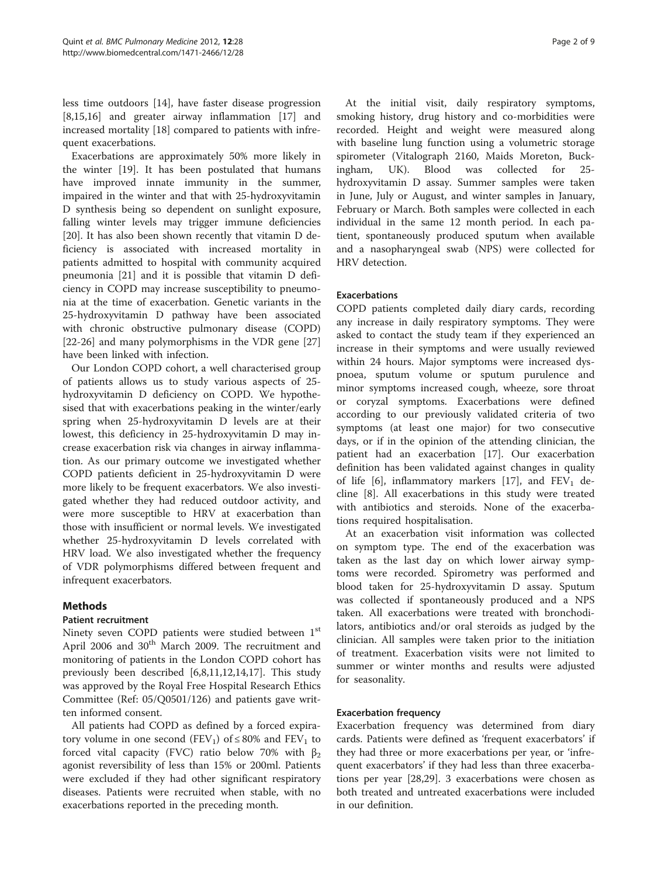less time outdoors [[14\]](#page-8-0), have faster disease progression [[8,15,16\]](#page-8-0) and greater airway inflammation [\[17](#page-8-0)] and increased mortality [\[18](#page-8-0)] compared to patients with infrequent exacerbations.

Exacerbations are approximately 50% more likely in the winter [\[19](#page-8-0)]. It has been postulated that humans have improved innate immunity in the summer, impaired in the winter and that with 25-hydroxyvitamin D synthesis being so dependent on sunlight exposure, falling winter levels may trigger immune deficiencies [[20\]](#page-8-0). It has also been shown recently that vitamin D deficiency is associated with increased mortality in patients admitted to hospital with community acquired pneumonia [\[21](#page-8-0)] and it is possible that vitamin D deficiency in COPD may increase susceptibility to pneumonia at the time of exacerbation. Genetic variants in the 25-hydroxyvitamin D pathway have been associated with chronic obstructive pulmonary disease (COPD) [[22-26](#page-8-0)] and many polymorphisms in the VDR gene [[27](#page-8-0)] have been linked with infection.

Our London COPD cohort, a well characterised group of patients allows us to study various aspects of 25 hydroxyvitamin D deficiency on COPD. We hypothesised that with exacerbations peaking in the winter/early spring when 25-hydroxyvitamin D levels are at their lowest, this deficiency in 25-hydroxyvitamin D may increase exacerbation risk via changes in airway inflammation. As our primary outcome we investigated whether COPD patients deficient in 25-hydroxyvitamin D were more likely to be frequent exacerbators. We also investigated whether they had reduced outdoor activity, and were more susceptible to HRV at exacerbation than those with insufficient or normal levels. We investigated whether 25-hydroxyvitamin D levels correlated with HRV load. We also investigated whether the frequency of VDR polymorphisms differed between frequent and infrequent exacerbators.

## Methods

#### Patient recruitment

Ninety seven COPD patients were studied between 1st April 2006 and 30<sup>th</sup> March 2009. The recruitment and monitoring of patients in the London COPD cohort has previously been described [\[6](#page-7-0)[,8,11,12,14,17\]](#page-8-0). This study was approved by the Royal Free Hospital Research Ethics Committee (Ref: 05/Q0501/126) and patients gave written informed consent.

All patients had COPD as defined by a forced expiratory volume in one second (FEV<sub>1</sub>) of  $\leq 80\%$  and FEV<sub>1</sub> to forced vital capacity (FVC) ratio below 70% with  $β_2$ agonist reversibility of less than 15% or 200ml. Patients were excluded if they had other significant respiratory diseases. Patients were recruited when stable, with no exacerbations reported in the preceding month.

At the initial visit, daily respiratory symptoms, smoking history, drug history and co-morbidities were recorded. Height and weight were measured along with baseline lung function using a volumetric storage spirometer (Vitalograph 2160, Maids Moreton, Buckingham, UK). Blood was collected for 25 hydroxyvitamin D assay. Summer samples were taken in June, July or August, and winter samples in January, February or March. Both samples were collected in each individual in the same 12 month period. In each patient, spontaneously produced sputum when available and a nasopharyngeal swab (NPS) were collected for HRV detection.

## Exacerbations

COPD patients completed daily diary cards, recording any increase in daily respiratory symptoms. They were asked to contact the study team if they experienced an increase in their symptoms and were usually reviewed within 24 hours. Major symptoms were increased dyspnoea, sputum volume or sputum purulence and minor symptoms increased cough, wheeze, sore throat or coryzal symptoms. Exacerbations were defined according to our previously validated criteria of two symptoms (at least one major) for two consecutive days, or if in the opinion of the attending clinician, the patient had an exacerbation [[17\]](#page-8-0). Our exacerbation definition has been validated against changes in quality of life [\[6](#page-7-0)], inflammatory markers [\[17](#page-8-0)], and  $FEV_1$  decline [\[8](#page-8-0)]. All exacerbations in this study were treated with antibiotics and steroids. None of the exacerbations required hospitalisation.

At an exacerbation visit information was collected on symptom type. The end of the exacerbation was taken as the last day on which lower airway symptoms were recorded. Spirometry was performed and blood taken for 25-hydroxyvitamin D assay. Sputum was collected if spontaneously produced and a NPS taken. All exacerbations were treated with bronchodilators, antibiotics and/or oral steroids as judged by the clinician. All samples were taken prior to the initiation of treatment. Exacerbation visits were not limited to summer or winter months and results were adjusted for seasonality.

#### Exacerbation frequency

Exacerbation frequency was determined from diary cards. Patients were defined as 'frequent exacerbators' if they had three or more exacerbations per year, or 'infrequent exacerbators' if they had less than three exacerbations per year [[28,29\]](#page-8-0). 3 exacerbations were chosen as both treated and untreated exacerbations were included in our definition.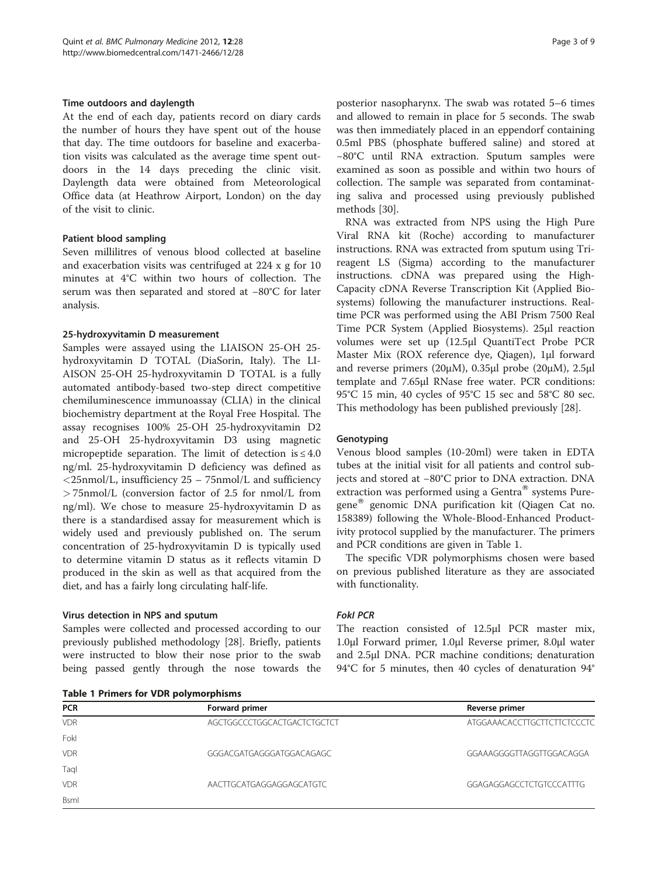#### Time outdoors and daylength

At the end of each day, patients record on diary cards the number of hours they have spent out of the house that day. The time outdoors for baseline and exacerbation visits was calculated as the average time spent outdoors in the 14 days preceding the clinic visit. Daylength data were obtained from Meteorological Office data (at Heathrow Airport, London) on the day of the visit to clinic.

## Patient blood sampling

Seven millilitres of venous blood collected at baseline and exacerbation visits was centrifuged at 224 x g for 10 minutes at 4°C within two hours of collection. The serum was then separated and stored at −80°C for later analysis.

## 25-hydroxyvitamin D measurement

Samples were assayed using the LIAISON 25-OH 25 hydroxyvitamin D TOTAL (DiaSorin, Italy). The LI-AISON 25-OH 25-hydroxyvitamin D TOTAL is a fully automated antibody-based two-step direct competitive chemiluminescence immunoassay (CLIA) in the clinical biochemistry department at the Royal Free Hospital. The assay recognises 100% 25-OH 25-hydroxyvitamin D2 and 25-OH 25-hydroxyvitamin D3 using magnetic micropeptide separation. The limit of detection is  $\leq 4.0$ ng/ml. 25-hydroxyvitamin D deficiency was defined as  $\langle$ 25nmol/L, insufficiency 25 – 75nmol/L and sufficiency > 75nmol/L (conversion factor of 2.5 for nmol/L from ng/ml). We chose to measure 25-hydroxyvitamin D as there is a standardised assay for measurement which is widely used and previously published on. The serum concentration of 25-hydroxyvitamin D is typically used to determine vitamin D status as it reflects vitamin D produced in the skin as well as that acquired from the diet, and has a fairly long circulating half-life.

#### Virus detection in NPS and sputum

Samples were collected and processed according to our previously published methodology [[28](#page-8-0)]. Briefly, patients were instructed to blow their nose prior to the swab being passed gently through the nose towards the

| <b>Table 1 Primers for VDR polymorphisms</b> |  |
|----------------------------------------------|--|
|----------------------------------------------|--|

posterior nasopharynx. The swab was rotated 5–6 times and allowed to remain in place for 5 seconds. The swab was then immediately placed in an eppendorf containing 0.5ml PBS (phosphate buffered saline) and stored at −80°C until RNA extraction. Sputum samples were examined as soon as possible and within two hours of collection. The sample was separated from contaminating saliva and processed using previously published methods [[30\]](#page-8-0).

RNA was extracted from NPS using the High Pure Viral RNA kit (Roche) according to manufacturer instructions. RNA was extracted from sputum using Trireagent LS (Sigma) according to the manufacturer instructions. cDNA was prepared using the High-Capacity cDNA Reverse Transcription Kit (Applied Biosystems) following the manufacturer instructions. Realtime PCR was performed using the ABI Prism 7500 Real Time PCR System (Applied Biosystems). 25μl reaction volumes were set up (12.5μl QuantiTect Probe PCR Master Mix (ROX reference dye, Qiagen), 1μl forward and reverse primers (20μM), 0.35μl probe (20μM), 2.5μl template and 7.65μl RNase free water. PCR conditions: 95°C 15 min, 40 cycles of 95°C 15 sec and 58°C 80 sec. This methodology has been published previously [[28\]](#page-8-0).

#### **Genotyping**

Venous blood samples (10-20ml) were taken in EDTA tubes at the initial visit for all patients and control subjects and stored at −80°C prior to DNA extraction. DNA extraction was performed using a Gentra $^{\circledR}$  systems Puregene<sup>w</sup> genomic DNA purification kit (Qiagen Cat no. 158389) following the Whole-Blood-Enhanced Productivity protocol supplied by the manufacturer. The primers and PCR conditions are given in Table 1.

The specific VDR polymorphisms chosen were based on previous published literature as they are associated with functionality.

#### FokI PCR

The reaction consisted of 12.5μl PCR master mix, 1.0μl Forward primer, 1.0μl Reverse primer, 8.0μl water and 2.5μl DNA. PCR machine conditions; denaturation 94°C for 5 minutes, then 40 cycles of denaturation 94°

| <b>PCR</b> | Forward primer              | Reverse primer              |
|------------|-----------------------------|-----------------------------|
| <b>VDR</b> | AGCTGGCCCTGGCACTGACTCTGCTCT | ATGGAAACACCTTGCTTCTTCTCCCTC |
| Fokl       |                             |                             |
| <b>VDR</b> | GGGACGATGAGGGATGGACAGAGC    | GGAAAGGGGTTAGGTTGGACAGGA    |
| Taql       |                             |                             |
| <b>VDR</b> | AACTTGCATGAGGAGGAGCATGTC    | GGAGAGGAGCCTCTGTCCCATTTG    |
| Bsml       |                             |                             |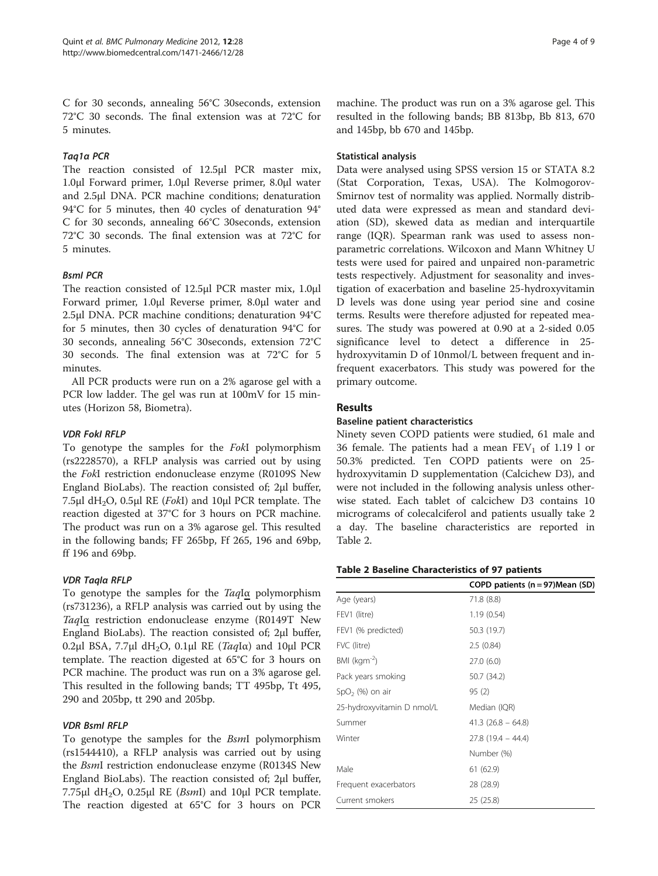C for 30 seconds, annealing 56°C 30seconds, extension 72°C 30 seconds. The final extension was at 72°C for 5 minutes.

## Taq1α PCR

The reaction consisted of 12.5μl PCR master mix, 1.0μl Forward primer, 1.0μl Reverse primer, 8.0μl water and 2.5μl DNA. PCR machine conditions; denaturation 94°C for 5 minutes, then 40 cycles of denaturation 94° C for 30 seconds, annealing 66°C 30seconds, extension 72°C 30 seconds. The final extension was at 72°C for 5 minutes.

## BsmI PCR

The reaction consisted of 12.5μl PCR master mix, 1.0μl Forward primer, 1.0μl Reverse primer, 8.0μl water and 2.5μl DNA. PCR machine conditions; denaturation 94°C for 5 minutes, then 30 cycles of denaturation 94°C for 30 seconds, annealing 56°C 30seconds, extension 72°C 30 seconds. The final extension was at 72°C for 5 minutes.

All PCR products were run on a 2% agarose gel with a PCR low ladder. The gel was run at 100mV for 15 minutes (Horizon 58, Biometra).

## VDR FokI RFLP

To genotype the samples for the FokI polymorphism (rs2228570), a RFLP analysis was carried out by using the FokI restriction endonuclease enzyme (R0109S New England BioLabs). The reaction consisted of; 2μl buffer, 7.5μl dH<sub>2</sub>O, 0.5μl RE (*FokI*) and 10μl PCR template. The reaction digested at 37°C for 3 hours on PCR machine. The product was run on a 3% agarose gel. This resulted in the following bands; FF 265bp, Ff 265, 196 and 69bp, ff 196 and 69bp.

## VDR TaqIα RFLP

To genotype the samples for the TaqIα polymorphism (rs731236), a RFLP analysis was carried out by using the TaqIα restriction endonuclease enzyme (R0149T New England BioLabs). The reaction consisted of; 2μl buffer, 0.2μl BSA, 7.7μl dH<sub>2</sub>O, 0.1μl RE (*Taq*I $\alpha$ ) and 10μl PCR template. The reaction digested at 65°C for 3 hours on PCR machine. The product was run on a 3% agarose gel. This resulted in the following bands; TT 495bp, Tt 495, 290 and 205bp, tt 290 and 205bp.

## VDR BsmI RFLP

To genotype the samples for the BsmI polymorphism (rs1544410), a RFLP analysis was carried out by using the BsmI restriction endonuclease enzyme (R0134S New England BioLabs). The reaction consisted of; 2μl buffer, 7.75μl dH<sub>2</sub>O, 0.25μl RE (*BsmI*) and 10μl PCR template. The reaction digested at 65°C for 3 hours on PCR

machine. The product was run on a 3% agarose gel. This resulted in the following bands; BB 813bp, Bb 813, 670 and 145bp, bb 670 and 145bp.

#### Statistical analysis

Data were analysed using SPSS version 15 or STATA 8.2 (Stat Corporation, Texas, USA). The Kolmogorov-Smirnov test of normality was applied. Normally distributed data were expressed as mean and standard deviation (SD), skewed data as median and interquartile range (IQR). Spearman rank was used to assess nonparametric correlations. Wilcoxon and Mann Whitney U tests were used for paired and unpaired non-parametric tests respectively. Adjustment for seasonality and investigation of exacerbation and baseline 25-hydroxyvitamin D levels was done using year period sine and cosine terms. Results were therefore adjusted for repeated measures. The study was powered at 0.90 at a 2-sided 0.05 significance level to detect a difference in 25 hydroxyvitamin D of 10nmol/L between frequent and infrequent exacerbators. This study was powered for the primary outcome.

## Results

## Baseline patient characteristics

Ninety seven COPD patients were studied, 61 male and 36 female. The patients had a mean  $FEV<sub>1</sub>$  of 1.19 l or 50.3% predicted. Ten COPD patients were on 25 hydroxyvitamin D supplementation (Calcichew D3), and were not included in the following analysis unless otherwise stated. Each tablet of calcichew D3 contains 10 micrograms of colecalciferol and patients usually take 2 a day. The baseline characteristics are reported in Table 2.

## Table 2 Baseline Characteristics of 97 patients

|                            | COPD patients (n = 97)Mean (SD) |
|----------------------------|---------------------------------|
| Age (years)                | 71.8 (8.8)                      |
| FEV1 (litre)               | 1.19(0.54)                      |
| FEV1 (% predicted)         | 50.3 (19.7)                     |
| FVC (litre)                | 2.5(0.84)                       |
| BMI ( $kgm^{-2}$ )         | 27.0(6.0)                       |
| Pack years smoking         | 50.7 (34.2)                     |
| $SpO2$ (%) on air          | 95(2)                           |
| 25-hydroxyvitamin D nmol/L | Median (IQR)                    |
| Summer                     | $41.3(26.8 - 64.8)$             |
| Winter                     | $27.8(19.4 - 44.4)$             |
|                            | Number (%)                      |
| Male                       | 61 (62.9)                       |
| Frequent exacerbators      | 28 (28.9)                       |
| Current smokers            | 25 (25.8)                       |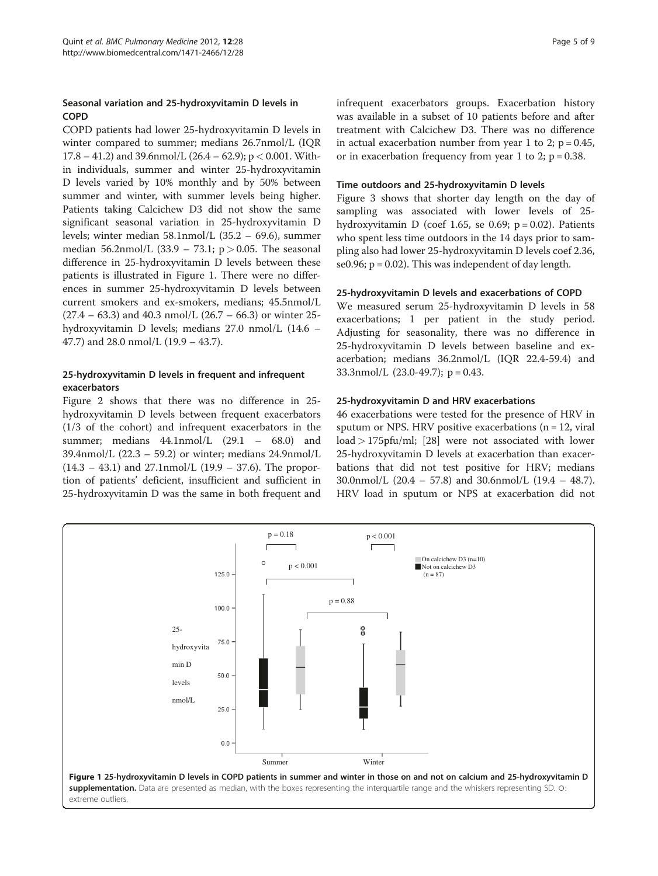## Seasonal variation and 25-hydroxyvitamin D levels in COPD

COPD patients had lower 25-hydroxyvitamin D levels in winter compared to summer; medians 26.7nmol/L (IQR 17.8 – 41.2) and 39.6nmol/L (26.4 – 62.9); p < 0.001. Within individuals, summer and winter 25-hydroxyvitamin D levels varied by 10% monthly and by 50% between summer and winter, with summer levels being higher. Patients taking Calcichew D3 did not show the same significant seasonal variation in 25-hydroxyvitamin D levels; winter median 58.1nmol/L (35.2 – 69.6), summer median 56.2nmol/L (33.9 – 73.1;  $p > 0.05$ . The seasonal difference in 25-hydroxyvitamin D levels between these patients is illustrated in Figure 1. There were no differences in summer 25-hydroxyvitamin D levels between current smokers and ex-smokers, medians; 45.5nmol/L  $(27.4 - 63.3)$  and 40.3 nmol/L  $(26.7 - 66.3)$  or winter 25hydroxyvitamin D levels; medians 27.0 nmol/L (14.6 – 47.7) and 28.0 nmol/L (19.9 – 43.7).

## 25-hydroxyvitamin D levels in frequent and infrequent exacerbators

Figure [2](#page-5-0) shows that there was no difference in 25 hydroxyvitamin D levels between frequent exacerbators (1/3 of the cohort) and infrequent exacerbators in the summer; medians 44.1nmol/L (29.1 – 68.0) and 39.4nmol/L  $(22.3 - 59.2)$  or winter; medians 24.9nmol/L  $(14.3 - 43.1)$  and 27.1nmol/L  $(19.9 - 37.6)$ . The proportion of patients' deficient, insufficient and sufficient in 25-hydroxyvitamin D was the same in both frequent and infrequent exacerbators groups. Exacerbation history was available in a subset of 10 patients before and after treatment with Calcichew D3. There was no difference in actual exacerbation number from year 1 to 2;  $p = 0.45$ , or in exacerbation frequency from year 1 to 2;  $p = 0.38$ .

#### Time outdoors and 25-hydroxyvitamin D levels

Figure [3](#page-5-0) shows that shorter day length on the day of sampling was associated with lower levels of 25 hydroxyvitamin D (coef 1.65, se 0.69;  $p = 0.02$ ). Patients who spent less time outdoors in the 14 days prior to sampling also had lower 25-hydroxyvitamin D levels coef 2.36, se0.96;  $p = 0.02$ ). This was independent of day length.

#### 25-hydroxyvitamin D levels and exacerbations of COPD

We measured serum 25-hydroxyvitamin D levels in 58 exacerbations; 1 per patient in the study period. Adjusting for seasonality, there was no difference in 25-hydroxyvitamin D levels between baseline and exacerbation; medians 36.2nmol/L (IQR 22.4-59.4) and 33.3nmol/L  $(23.0-49.7)$ ; p = 0.43.

#### 25-hydroxyvitamin D and HRV exacerbations

46 exacerbations were tested for the presence of HRV in sputum or NPS. HRV positive exacerbations ( $n = 12$ , viral load > 175pfu/ml; [[28](#page-8-0)] were not associated with lower 25-hydroxyvitamin D levels at exacerbation than exacerbations that did not test positive for HRV; medians 30.0nmol/L (20.4 – 57.8) and 30.6nmol/L (19.4 – 48.7). HRV load in sputum or NPS at exacerbation did not

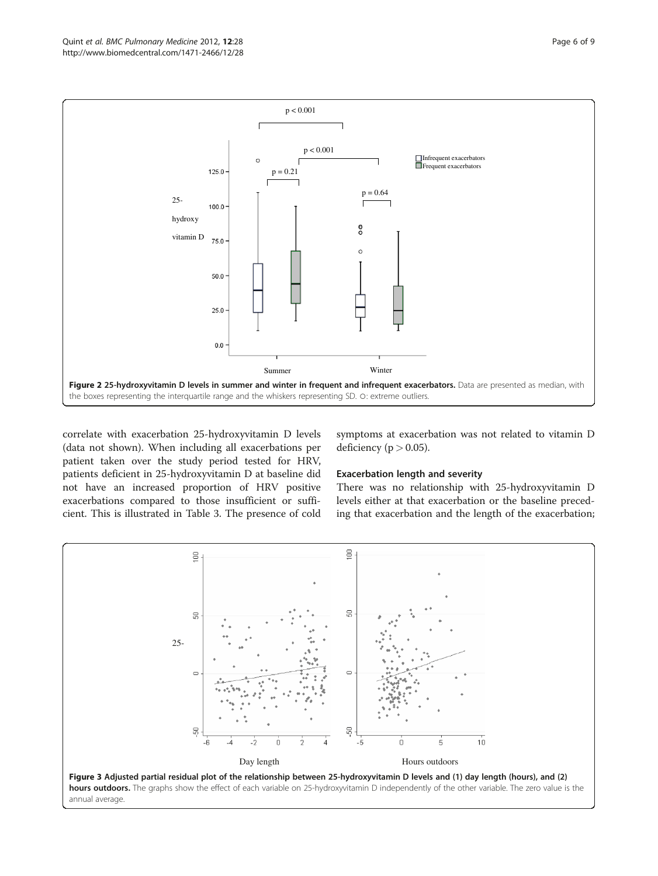<span id="page-5-0"></span>

correlate with exacerbation 25-hydroxyvitamin D levels (data not shown). When including all exacerbations per patient taken over the study period tested for HRV, patients deficient in 25-hydroxyvitamin D at baseline did not have an increased proportion of HRV positive exacerbations compared to those insufficient or sufficient. This is illustrated in Table [3](#page-6-0). The presence of cold

symptoms at exacerbation was not related to vitamin D deficiency ( $p > 0.05$ ).

## Exacerbation length and severity

There was no relationship with 25-hydroxyvitamin D levels either at that exacerbation or the baseline preceding that exacerbation and the length of the exacerbation;

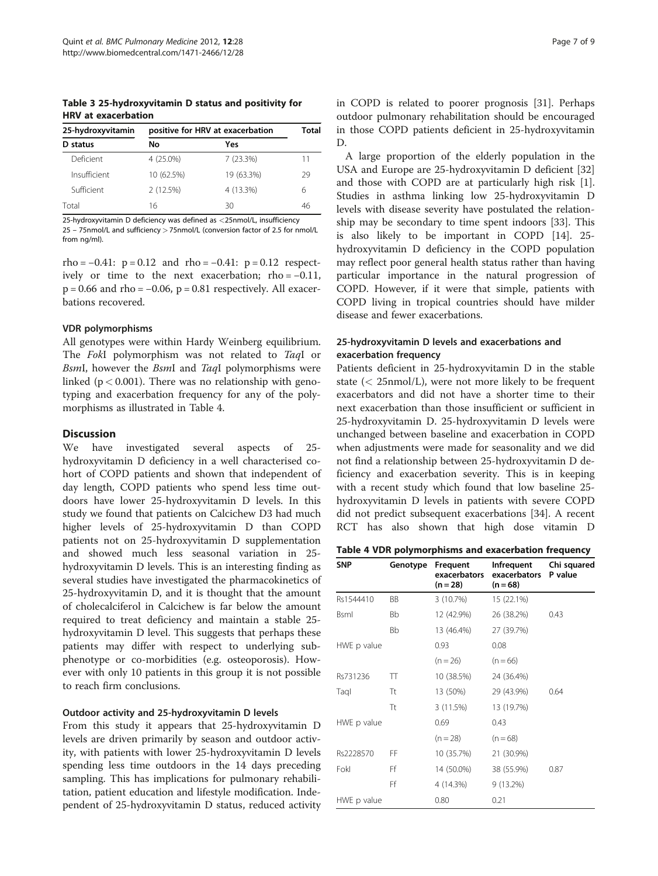<span id="page-6-0"></span>Table 3 25-hydroxyvitamin D status and positivity for HRV at exacerbation

| 25-hydroxyvitamin | positive for HRV at exacerbation |            | Total |
|-------------------|----------------------------------|------------|-------|
| status<br>D       | No                               | Yes        |       |
| Deficient         | 4 (25.0%)                        | 7(23.3%)   | 11    |
| Insufficient      | 10 (62.5%)                       | 19 (63.3%) | 29    |
| Sufficient        | 2(12.5%)                         | 4 (13.3%)  | 6     |
| Total             | 16                               | 30         | 46    |

25-hydroxyvitamin D deficiency was defined as <25nmol/L, insufficiency 25 – 75nmol/L and sufficiency > 75nmol/L (conversion factor of 2.5 for nmol/L from ng/ml).

rho =  $-0.41$ : p = 0.12 and rho =  $-0.41$ : p = 0.12 respectively or time to the next exacerbation;  $rho = -0.11$ ,  $p = 0.66$  and rho =  $-0.06$ ,  $p = 0.81$  respectively. All exacerbations recovered.

#### VDR polymorphisms

All genotypes were within Hardy Weinberg equilibrium. The FokI polymorphism was not related to TaqI or BsmI, however the BsmI and TaqI polymorphisms were linked ( $p < 0.001$ ). There was no relationship with genotyping and exacerbation frequency for any of the polymorphisms as illustrated in Table 4.

#### **Discussion**

We have investigated several aspects of 25 hydroxyvitamin D deficiency in a well characterised cohort of COPD patients and shown that independent of day length, COPD patients who spend less time outdoors have lower 25-hydroxyvitamin D levels. In this study we found that patients on Calcichew D3 had much higher levels of 25-hydroxyvitamin D than COPD patients not on 25-hydroxyvitamin D supplementation and showed much less seasonal variation in 25 hydroxyvitamin D levels. This is an interesting finding as several studies have investigated the pharmacokinetics of 25-hydroxyvitamin D, and it is thought that the amount of cholecalciferol in Calcichew is far below the amount required to treat deficiency and maintain a stable 25 hydroxyvitamin D level. This suggests that perhaps these patients may differ with respect to underlying subphenotype or co-morbidities (e.g. osteoporosis). However with only 10 patients in this group it is not possible to reach firm conclusions.

#### Outdoor activity and 25-hydroxyvitamin D levels

From this study it appears that 25-hydroxyvitamin D levels are driven primarily by season and outdoor activity, with patients with lower 25-hydroxyvitamin D levels spending less time outdoors in the 14 days preceding sampling. This has implications for pulmonary rehabilitation, patient education and lifestyle modification. Independent of 25-hydroxyvitamin D status, reduced activity in COPD is related to poorer prognosis [\[31](#page-8-0)]. Perhaps outdoor pulmonary rehabilitation should be encouraged in those COPD patients deficient in 25-hydroxyvitamin D.

A large proportion of the elderly population in the USA and Europe are 25-hydroxyvitamin D deficient [[32](#page-8-0)] and those with COPD are at particularly high risk [\[1](#page-7-0)]. Studies in asthma linking low 25-hydroxyvitamin D levels with disease severity have postulated the relationship may be secondary to time spent indoors [[33](#page-8-0)]. This is also likely to be important in COPD [[14\]](#page-8-0). 25 hydroxyvitamin D deficiency in the COPD population may reflect poor general health status rather than having particular importance in the natural progression of COPD. However, if it were that simple, patients with COPD living in tropical countries should have milder disease and fewer exacerbations.

## 25-hydroxyvitamin D levels and exacerbations and exacerbation frequency

Patients deficient in 25-hydroxyvitamin D in the stable state  $\langle$  25nmol/L), were not more likely to be frequent exacerbators and did not have a shorter time to their next exacerbation than those insufficient or sufficient in 25-hydroxyvitamin D. 25-hydroxyvitamin D levels were unchanged between baseline and exacerbation in COPD when adjustments were made for seasonality and we did not find a relationship between 25-hydroxyvitamin D deficiency and exacerbation severity. This is in keeping with a recent study which found that low baseline 25 hydroxyvitamin D levels in patients with severe COPD did not predict subsequent exacerbations [\[34](#page-8-0)]. A recent RCT has also shown that high dose vitamin D

|  |  |  | Table 4 VDR polymorphisms and exacerbation frequency |  |
|--|--|--|------------------------------------------------------|--|
|--|--|--|------------------------------------------------------|--|

| <b>SNP</b>  | Genotype  | Frequent<br>exacerbators<br>$(n=28)$ | Infrequent<br>exacerbators<br>$(n = 68)$ | Chi squared<br>P value |
|-------------|-----------|--------------------------------------|------------------------------------------|------------------------|
| Rs1544410   | <b>BB</b> | 3 (10.7%)                            | 15 (22.1%)                               |                        |
| Bsml        | <b>Bb</b> | 12 (42.9%)                           | 26 (38.2%)                               | 0.43                   |
|             | <b>Bb</b> | 13 (46.4%)                           | 27 (39.7%)                               |                        |
| HWE p value |           | 0.93                                 | 0.08                                     |                        |
|             |           | $(n = 26)$                           | $(n = 66)$                               |                        |
| Rs731236    | π         | 10 (38.5%)                           | 24 (36.4%)                               |                        |
| Taql        | Τt        | 13 (50%)                             | 29 (43.9%)                               | 0.64                   |
|             | Tt        | 3(11.5%)                             | 13 (19.7%)                               |                        |
| HWE p value |           | 0.69                                 | 0.43                                     |                        |
|             |           | $(n = 28)$                           | $(n=68)$                                 |                        |
| Rs2228570   | FF        | 10 (35.7%)                           | 21 (30.9%)                               |                        |
| Fokl        | Ff        | 14 (50.0%)                           | 38 (55.9%)                               | 0.87                   |
|             | Ff        | 4 (14.3%)                            | $9(13.2\%)$                              |                        |
| HWE p value |           | 0.80                                 | 0.21                                     |                        |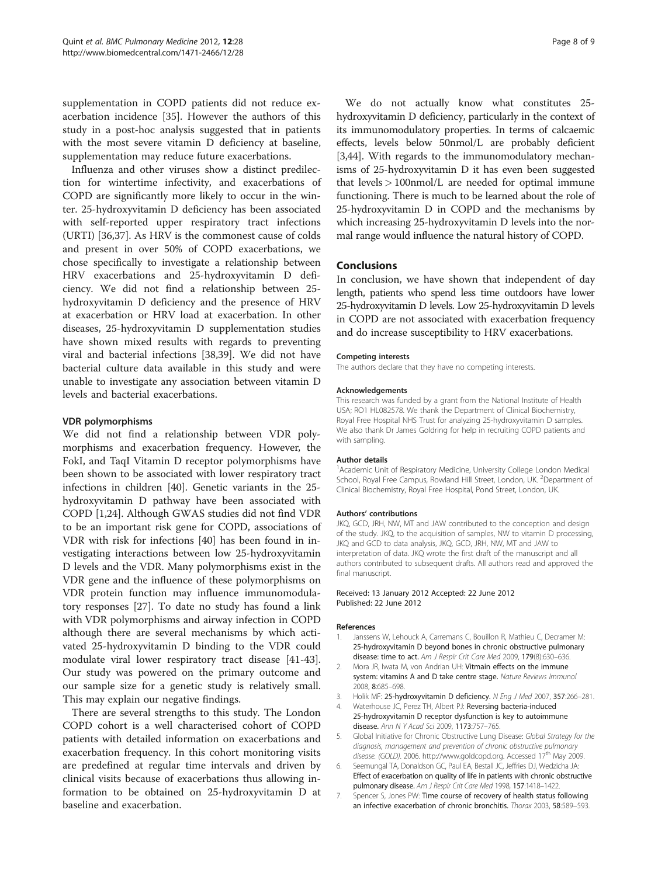<span id="page-7-0"></span>supplementation in COPD patients did not reduce exacerbation incidence [\[35\]](#page-8-0). However the authors of this study in a post-hoc analysis suggested that in patients with the most severe vitamin D deficiency at baseline, supplementation may reduce future exacerbations.

Influenza and other viruses show a distinct predilection for wintertime infectivity, and exacerbations of COPD are significantly more likely to occur in the winter. 25-hydroxyvitamin D deficiency has been associated with self-reported upper respiratory tract infections (URTI) [[36,37\]](#page-8-0). As HRV is the commonest cause of colds and present in over 50% of COPD exacerbations, we chose specifically to investigate a relationship between HRV exacerbations and 25-hydroxyvitamin D deficiency. We did not find a relationship between 25 hydroxyvitamin D deficiency and the presence of HRV at exacerbation or HRV load at exacerbation. In other diseases, 25-hydroxyvitamin D supplementation studies have shown mixed results with regards to preventing viral and bacterial infections [\[38,39](#page-8-0)]. We did not have bacterial culture data available in this study and were unable to investigate any association between vitamin D levels and bacterial exacerbations.

#### VDR polymorphisms

We did not find a relationship between VDR polymorphisms and exacerbation frequency. However, the FokI, and TaqI Vitamin D receptor polymorphisms have been shown to be associated with lower respiratory tract infections in children [[40\]](#page-8-0). Genetic variants in the 25 hydroxyvitamin D pathway have been associated with COPD [1,[24\]](#page-8-0). Although GWAS studies did not find VDR to be an important risk gene for COPD, associations of VDR with risk for infections [[40](#page-8-0)] has been found in investigating interactions between low 25-hydroxyvitamin D levels and the VDR. Many polymorphisms exist in the VDR gene and the influence of these polymorphisms on VDR protein function may influence immunomodulatory responses [[27\]](#page-8-0). To date no study has found a link with VDR polymorphisms and airway infection in COPD although there are several mechanisms by which activated 25-hydroxyvitamin D binding to the VDR could modulate viral lower respiratory tract disease [\[41-43](#page-8-0)]. Our study was powered on the primary outcome and our sample size for a genetic study is relatively small. This may explain our negative findings.

There are several strengths to this study. The London COPD cohort is a well characterised cohort of COPD patients with detailed information on exacerbations and exacerbation frequency. In this cohort monitoring visits are predefined at regular time intervals and driven by clinical visits because of exacerbations thus allowing information to be obtained on 25-hydroxyvitamin D at baseline and exacerbation.

We do not actually know what constitutes 25 hydroxyvitamin D deficiency, particularly in the context of its immunomodulatory properties. In terms of calcaemic effects, levels below 50nmol/L are probably deficient [3,[44](#page-8-0)]. With regards to the immunomodulatory mechanisms of 25-hydroxyvitamin D it has even been suggested that levels  $> 100$ nmol/L are needed for optimal immune functioning. There is much to be learned about the role of 25-hydroxyvitamin D in COPD and the mechanisms by which increasing 25-hydroxyvitamin D levels into the normal range would influence the natural history of COPD.

## **Conclusions**

In conclusion, we have shown that independent of day length, patients who spend less time outdoors have lower 25-hydroxyvitamin D levels. Low 25-hydroxyvitamin D levels in COPD are not associated with exacerbation frequency and do increase susceptibility to HRV exacerbations.

#### Competing interests

The authors declare that they have no competing interests.

#### Acknowledgements

This research was funded by a grant from the National Institute of Health USA; RO1 HL082578. We thank the Department of Clinical Biochemistry, Royal Free Hospital NHS Trust for analyzing 25-hydroxyvitamin D samples. We also thank Dr James Goldring for help in recruiting COPD patients and with sampling.

#### Author details

<sup>1</sup> Academic Unit of Respiratory Medicine, University College London Medical School, Royal Free Campus, Rowland Hill Street, London, UK. <sup>2</sup>Department of Clinical Biochemistry, Royal Free Hospital, Pond Street, London, UK.

#### Authors' contributions

JKQ, GCD, JRH, NW, MT and JAW contributed to the conception and design of the study. JKQ, to the acquisition of samples, NW to vitamin D processing, JKQ and GCD to data analysis, JKQ, GCD, JRH, NW, MT and JAW to interpretation of data. JKQ wrote the first draft of the manuscript and all authors contributed to subsequent drafts. All authors read and approved the final manuscript.

#### Received: 13 January 2012 Accepted: 22 June 2012 Published: 22 June 2012

#### References

- 1. Janssens W, Lehouck A, Carremans C, Bouillon R, Mathieu C, Decramer M: 25-hydroxyvitamin D beyond bones in chronic obstructive pulmonary disease: time to act. Am J Respir Crit Care Med 2009, 179(8):630-636.
- 2. Mora JR, Iwata M, von Andrian UH: Vitmain effects on the immune system: vitamins A and D take centre stage. Nature Reviews Immunol 2008, 8:685–698.
- 3. Holik MF: 25-hydroxyvitamin D deficiency. N Eng J Med 2007, 357:266–281.
- 4. Waterhouse JC, Perez TH, Albert PJ: Reversing bacteria-induced 25-hydroxyvitamin D receptor dysfunction is key to autoimmune disease. Ann N Y Acad Sci 2009, 1173:757–765.
- 5. Global Initiative for Chronic Obstructive Lung Disease: Global Strategy for the diagnosis, management and prevention of chronic obstructive pulmonary disease. (GOLD). 2006. http://www.goldcopd.org. Accessed 17<sup>th</sup> May 2009.
- 6. Seemungal TA, Donaldson GC, Paul EA, Bestall JC, Jeffries DJ, Wedzicha JA: Effect of exacerbation on quality of life in patients with chronic obstructive pulmonary disease. Am J Respir Crit Care Med 1998, 157:1418-1422.
- 7. Spencer S, Jones PW: Time course of recovery of health status following an infective exacerbation of chronic bronchitis. Thorax 2003, 58:589–593.